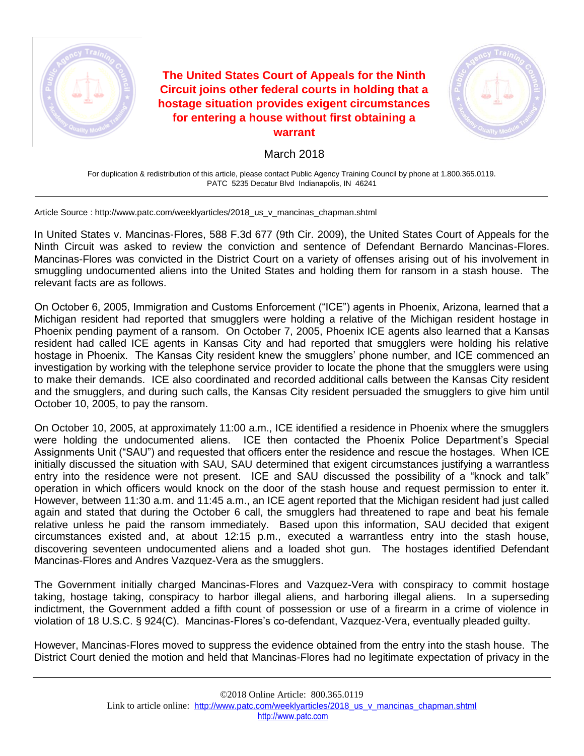

**The United States Court of Appeals for the Ninth Circuit joins other federal courts in holding that a hostage situation provides exigent circumstances for entering a house without first obtaining a warrant**



March 2018

For duplication & redistribution of this article, please contact Public Agency Training Council by phone at 1.800.365.0119. PATC 5235 Decatur Blvd Indianapolis, IN 46241

Article Source : http://www.patc.com/weeklyarticles/2018\_us\_v\_mancinas\_chapman.shtml

In United States v. Mancinas-Flores, 588 F.3d 677 (9th Cir. 2009), the United States Court of Appeals for the Ninth Circuit was asked to review the conviction and sentence of Defendant Bernardo Mancinas-Flores. Mancinas-Flores was convicted in the District Court on a variety of offenses arising out of his involvement in smuggling undocumented aliens into the United States and holding them for ransom in a stash house. The relevant facts are as follows.

On October 6, 2005, Immigration and Customs Enforcement ("ICE") agents in Phoenix, Arizona, learned that a Michigan resident had reported that smugglers were holding a relative of the Michigan resident hostage in Phoenix pending payment of a ransom. On October 7, 2005, Phoenix ICE agents also learned that a Kansas resident had called ICE agents in Kansas City and had reported that smugglers were holding his relative hostage in Phoenix. The Kansas City resident knew the smugglers' phone number, and ICE commenced an investigation by working with the telephone service provider to locate the phone that the smugglers were using to make their demands. ICE also coordinated and recorded additional calls between the Kansas City resident and the smugglers, and during such calls, the Kansas City resident persuaded the smugglers to give him until October 10, 2005, to pay the ransom.

On October 10, 2005, at approximately 11:00 a.m., ICE identified a residence in Phoenix where the smugglers were holding the undocumented aliens. ICE then contacted the Phoenix Police Department's Special Assignments Unit ("SAU") and requested that officers enter the residence and rescue the hostages. When ICE initially discussed the situation with SAU, SAU determined that exigent circumstances justifying a warrantless entry into the residence were not present. ICE and SAU discussed the possibility of a "knock and talk" operation in which officers would knock on the door of the stash house and request permission to enter it. However, between 11:30 a.m. and 11:45 a.m., an ICE agent reported that the Michigan resident had just called again and stated that during the October 6 call, the smugglers had threatened to rape and beat his female relative unless he paid the ransom immediately. Based upon this information, SAU decided that exigent circumstances existed and, at about 12:15 p.m., executed a warrantless entry into the stash house, discovering seventeen undocumented aliens and a loaded shot gun. The hostages identified Defendant Mancinas-Flores and Andres Vazquez-Vera as the smugglers.

The Government initially charged Mancinas-Flores and Vazquez-Vera with conspiracy to commit hostage taking, hostage taking, conspiracy to harbor illegal aliens, and harboring illegal aliens. In a superseding indictment, the Government added a fifth count of possession or use of a firearm in a crime of violence in violation of 18 U.S.C. § 924(C). Mancinas-Flores's co-defendant, Vazquez-Vera, eventually pleaded guilty.

However, Mancinas-Flores moved to suppress the evidence obtained from the entry into the stash house. The District Court denied the motion and held that Mancinas-Flores had no legitimate expectation of privacy in the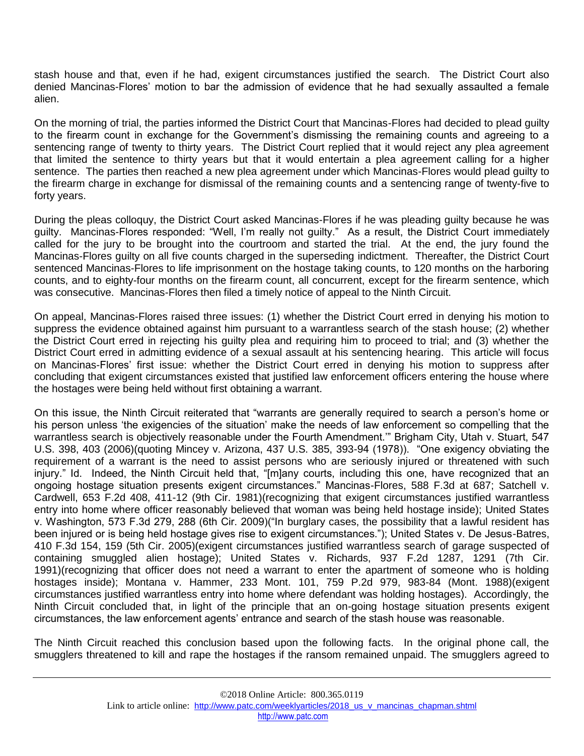stash house and that, even if he had, exigent circumstances justified the search. The District Court also denied Mancinas-Flores' motion to bar the admission of evidence that he had sexually assaulted a female alien.

On the morning of trial, the parties informed the District Court that Mancinas-Flores had decided to plead guilty to the firearm count in exchange for the Government's dismissing the remaining counts and agreeing to a sentencing range of twenty to thirty years. The District Court replied that it would reject any plea agreement that limited the sentence to thirty years but that it would entertain a plea agreement calling for a higher sentence. The parties then reached a new plea agreement under which Mancinas-Flores would plead guilty to the firearm charge in exchange for dismissal of the remaining counts and a sentencing range of twenty-five to forty years.

During the pleas colloquy, the District Court asked Mancinas-Flores if he was pleading guilty because he was guilty. Mancinas-Flores responded: "Well, I'm really not guilty." As a result, the District Court immediately called for the jury to be brought into the courtroom and started the trial. At the end, the jury found the Mancinas-Flores guilty on all five counts charged in the superseding indictment. Thereafter, the District Court sentenced Mancinas-Flores to life imprisonment on the hostage taking counts, to 120 months on the harboring counts, and to eighty-four months on the firearm count, all concurrent, except for the firearm sentence, which was consecutive. Mancinas-Flores then filed a timely notice of appeal to the Ninth Circuit.

On appeal, Mancinas-Flores raised three issues: (1) whether the District Court erred in denying his motion to suppress the evidence obtained against him pursuant to a warrantless search of the stash house; (2) whether the District Court erred in rejecting his guilty plea and requiring him to proceed to trial; and (3) whether the District Court erred in admitting evidence of a sexual assault at his sentencing hearing. This article will focus on Mancinas-Flores' first issue: whether the District Court erred in denying his motion to suppress after concluding that exigent circumstances existed that justified law enforcement officers entering the house where the hostages were being held without first obtaining a warrant.

On this issue, the Ninth Circuit reiterated that "warrants are generally required to search a person's home or his person unless 'the exigencies of the situation' make the needs of law enforcement so compelling that the warrantless search is objectively reasonable under the Fourth Amendment.'" Brigham City, Utah v. Stuart, 547 U.S. 398, 403 (2006)(quoting Mincey v. Arizona, 437 U.S. 385, 393-94 (1978)). "One exigency obviating the requirement of a warrant is the need to assist persons who are seriously injured or threatened with such injury." Id. Indeed, the Ninth Circuit held that, "[m]any courts, including this one, have recognized that an ongoing hostage situation presents exigent circumstances." Mancinas-Flores, 588 F.3d at 687; Satchell v. Cardwell, 653 F.2d 408, 411-12 (9th Cir. 1981)(recognizing that exigent circumstances justified warrantless entry into home where officer reasonably believed that woman was being held hostage inside); United States v. Washington, 573 F.3d 279, 288 (6th Cir. 2009)("In burglary cases, the possibility that a lawful resident has been injured or is being held hostage gives rise to exigent circumstances."); United States v. De Jesus-Batres, 410 F.3d 154, 159 (5th Cir. 2005)(exigent circumstances justified warrantless search of garage suspected of containing smuggled alien hostage); United States v. Richards, 937 F.2d 1287, 1291 (7th Cir. 1991)(recognizing that officer does not need a warrant to enter the apartment of someone who is holding hostages inside); Montana v. Hammer, 233 Mont. 101, 759 P.2d 979, 983-84 (Mont. 1988)(exigent circumstances justified warrantless entry into home where defendant was holding hostages). Accordingly, the Ninth Circuit concluded that, in light of the principle that an on-going hostage situation presents exigent circumstances, the law enforcement agents' entrance and search of the stash house was reasonable.

The Ninth Circuit reached this conclusion based upon the following facts. In the original phone call, the smugglers threatened to kill and rape the hostages if the ransom remained unpaid. The smugglers agreed to